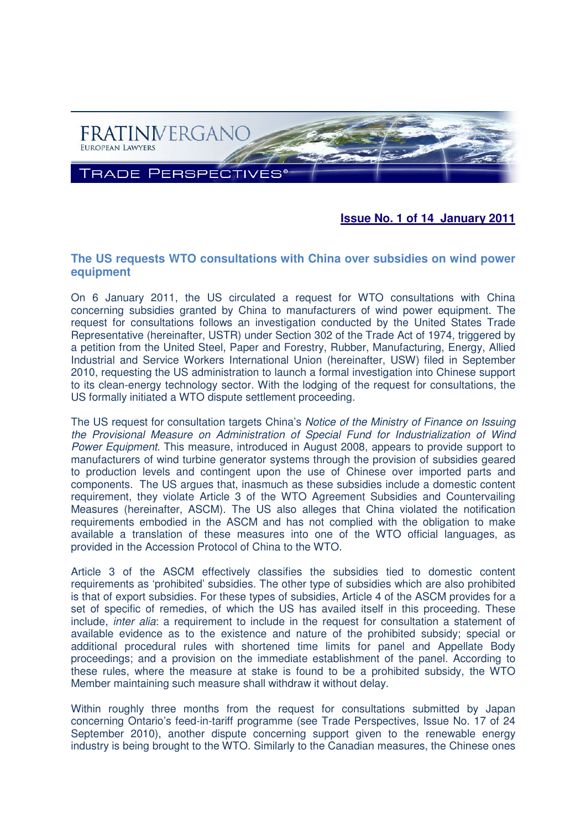

# **Issue No. 1 of 14 January 2011**

### **The US requests WTO consultations with China over subsidies on wind power equipment**

On 6 January 2011, the US circulated a request for WTO consultations with China concerning subsidies granted by China to manufacturers of wind power equipment. The request for consultations follows an investigation conducted by the United States Trade Representative (hereinafter, USTR) under Section 302 of the Trade Act of 1974, triggered by a petition from the United Steel, Paper and Forestry, Rubber, Manufacturing, Energy, Allied Industrial and Service Workers International Union (hereinafter, USW) filed in September 2010, requesting the US administration to launch a formal investigation into Chinese support to its clean-energy technology sector. With the lodging of the request for consultations, the US formally initiated a WTO dispute settlement proceeding.

The US request for consultation targets China's Notice of the Ministry of Finance on Issuing the Provisional Measure on Administration of Special Fund for Industrialization of Wind Power Equipment. This measure, introduced in August 2008, appears to provide support to manufacturers of wind turbine generator systems through the provision of subsidies geared to production levels and contingent upon the use of Chinese over imported parts and components. The US argues that, inasmuch as these subsidies include a domestic content requirement, they violate Article 3 of the WTO Agreement Subsidies and Countervailing Measures (hereinafter, ASCM). The US also alleges that China violated the notification requirements embodied in the ASCM and has not complied with the obligation to make available a translation of these measures into one of the WTO official languages, as provided in the Accession Protocol of China to the WTO.

Article 3 of the ASCM effectively classifies the subsidies tied to domestic content requirements as 'prohibited' subsidies. The other type of subsidies which are also prohibited is that of export subsidies. For these types of subsidies, Article 4 of the ASCM provides for a set of specific of remedies, of which the US has availed itself in this proceeding. These include, inter alia: a requirement to include in the request for consultation a statement of available evidence as to the existence and nature of the prohibited subsidy; special or additional procedural rules with shortened time limits for panel and Appellate Body proceedings; and a provision on the immediate establishment of the panel. According to these rules, where the measure at stake is found to be a prohibited subsidy, the WTO Member maintaining such measure shall withdraw it without delay.

Within roughly three months from the request for consultations submitted by Japan concerning Ontario's feed-in-tariff programme (see Trade Perspectives, Issue No. 17 of 24 September 2010), another dispute concerning support given to the renewable energy industry is being brought to the WTO. Similarly to the Canadian measures, the Chinese ones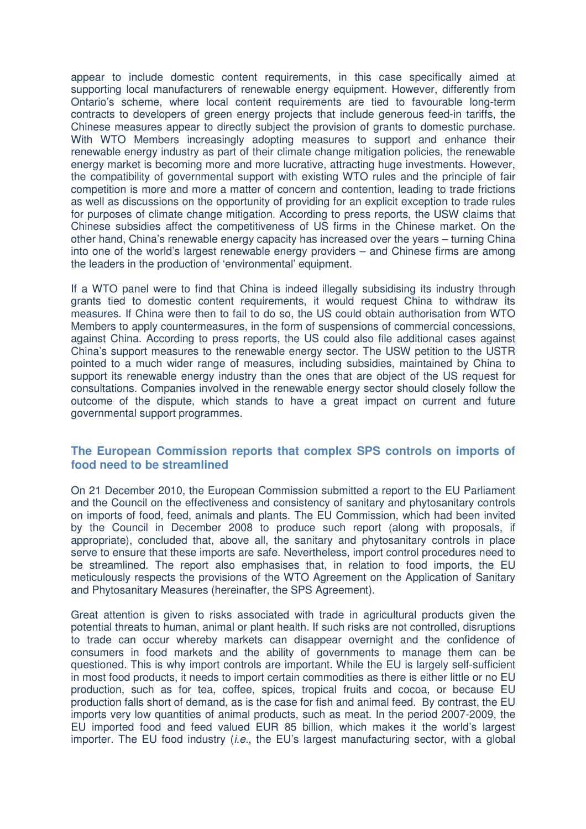appear to include domestic content requirements, in this case specifically aimed at supporting local manufacturers of renewable energy equipment. However, differently from Ontario's scheme, where local content requirements are tied to favourable long-term contracts to developers of green energy projects that include generous feed-in tariffs, the Chinese measures appear to directly subject the provision of grants to domestic purchase. With WTO Members increasingly adopting measures to support and enhance their renewable energy industry as part of their climate change mitigation policies, the renewable energy market is becoming more and more lucrative, attracting huge investments. However, the compatibility of governmental support with existing WTO rules and the principle of fair competition is more and more a matter of concern and contention, leading to trade frictions as well as discussions on the opportunity of providing for an explicit exception to trade rules for purposes of climate change mitigation. According to press reports, the USW claims that Chinese subsidies affect the competitiveness of US firms in the Chinese market. On the other hand, China's renewable energy capacity has increased over the years – turning China into one of the world's largest renewable energy providers – and Chinese firms are among the leaders in the production of 'environmental' equipment.

If a WTO panel were to find that China is indeed illegally subsidising its industry through grants tied to domestic content requirements, it would request China to withdraw its measures. If China were then to fail to do so, the US could obtain authorisation from WTO Members to apply countermeasures, in the form of suspensions of commercial concessions, against China. According to press reports, the US could also file additional cases against China's support measures to the renewable energy sector. The USW petition to the USTR pointed to a much wider range of measures, including subsidies, maintained by China to support its renewable energy industry than the ones that are object of the US request for consultations. Companies involved in the renewable energy sector should closely follow the outcome of the dispute, which stands to have a great impact on current and future governmental support programmes.

### **The European Commission reports that complex SPS controls on imports of food need to be streamlined**

On 21 December 2010, the European Commission submitted a report to the EU Parliament and the Council on the effectiveness and consistency of sanitary and phytosanitary controls on imports of food, feed, animals and plants. The EU Commission, which had been invited by the Council in December 2008 to produce such report (along with proposals, if appropriate), concluded that, above all, the sanitary and phytosanitary controls in place serve to ensure that these imports are safe. Nevertheless, import control procedures need to be streamlined. The report also emphasises that, in relation to food imports, the EU meticulously respects the provisions of the WTO Agreement on the Application of Sanitary and Phytosanitary Measures (hereinafter, the SPS Agreement).

Great attention is given to risks associated with trade in agricultural products given the potential threats to human, animal or plant health. If such risks are not controlled, disruptions to trade can occur whereby markets can disappear overnight and the confidence of consumers in food markets and the ability of governments to manage them can be questioned. This is why import controls are important. While the EU is largely self-sufficient in most food products, it needs to import certain commodities as there is either little or no EU production, such as for tea, coffee, spices, tropical fruits and cocoa, or because EU production falls short of demand, as is the case for fish and animal feed. By contrast, the EU imports very low quantities of animal products, such as meat. In the period 2007-2009, the EU imported food and feed valued EUR 85 billion, which makes it the world's largest importer. The EU food industry *(i.e.*, the EU's largest manufacturing sector, with a global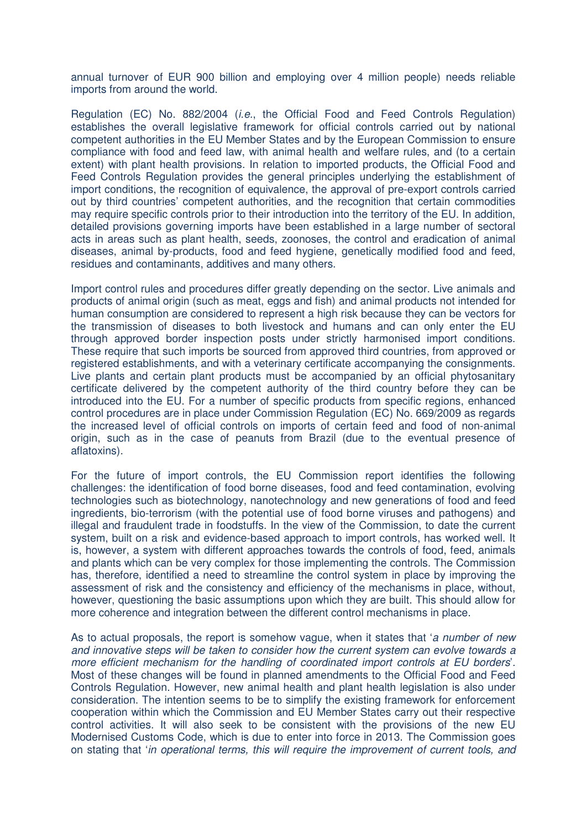annual turnover of EUR 900 billion and employing over 4 million people) needs reliable imports from around the world.

Regulation (EC) No. 882/2004 (i.e., the Official Food and Feed Controls Regulation) establishes the overall legislative framework for official controls carried out by national competent authorities in the EU Member States and by the European Commission to ensure compliance with food and feed law, with animal health and welfare rules, and (to a certain extent) with plant health provisions. In relation to imported products, the Official Food and Feed Controls Regulation provides the general principles underlying the establishment of import conditions, the recognition of equivalence, the approval of pre-export controls carried out by third countries' competent authorities, and the recognition that certain commodities may require specific controls prior to their introduction into the territory of the EU. In addition, detailed provisions governing imports have been established in a large number of sectoral acts in areas such as plant health, seeds, zoonoses, the control and eradication of animal diseases, animal by-products, food and feed hygiene, genetically modified food and feed, residues and contaminants, additives and many others.

Import control rules and procedures differ greatly depending on the sector. Live animals and products of animal origin (such as meat, eggs and fish) and animal products not intended for human consumption are considered to represent a high risk because they can be vectors for the transmission of diseases to both livestock and humans and can only enter the EU through approved border inspection posts under strictly harmonised import conditions. These require that such imports be sourced from approved third countries, from approved or registered establishments, and with a veterinary certificate accompanying the consignments. Live plants and certain plant products must be accompanied by an official phytosanitary certificate delivered by the competent authority of the third country before they can be introduced into the EU. For a number of specific products from specific regions, enhanced control procedures are in place under Commission Regulation (EC) No. 669/2009 as regards the increased level of official controls on imports of certain feed and food of non-animal origin, such as in the case of peanuts from Brazil (due to the eventual presence of aflatoxins).

For the future of import controls, the EU Commission report identifies the following challenges: the identification of food borne diseases, food and feed contamination, evolving technologies such as biotechnology, nanotechnology and new generations of food and feed ingredients, bio-terrorism (with the potential use of food borne viruses and pathogens) and illegal and fraudulent trade in foodstuffs. In the view of the Commission, to date the current system, built on a risk and evidence-based approach to import controls, has worked well. It is, however, a system with different approaches towards the controls of food, feed, animals and plants which can be very complex for those implementing the controls. The Commission has, therefore, identified a need to streamline the control system in place by improving the assessment of risk and the consistency and efficiency of the mechanisms in place, without, however, questioning the basic assumptions upon which they are built. This should allow for more coherence and integration between the different control mechanisms in place.

As to actual proposals, the report is somehow vague, when it states that *'a number of new* and innovative steps will be taken to consider how the current system can evolve towards a more efficient mechanism for the handling of coordinated import controls at EU borders'. Most of these changes will be found in planned amendments to the Official Food and Feed Controls Regulation. However, new animal health and plant health legislation is also under consideration. The intention seems to be to simplify the existing framework for enforcement cooperation within which the Commission and EU Member States carry out their respective control activities. It will also seek to be consistent with the provisions of the new EU Modernised Customs Code, which is due to enter into force in 2013. The Commission goes on stating that 'in operational terms, this will require the improvement of current tools, and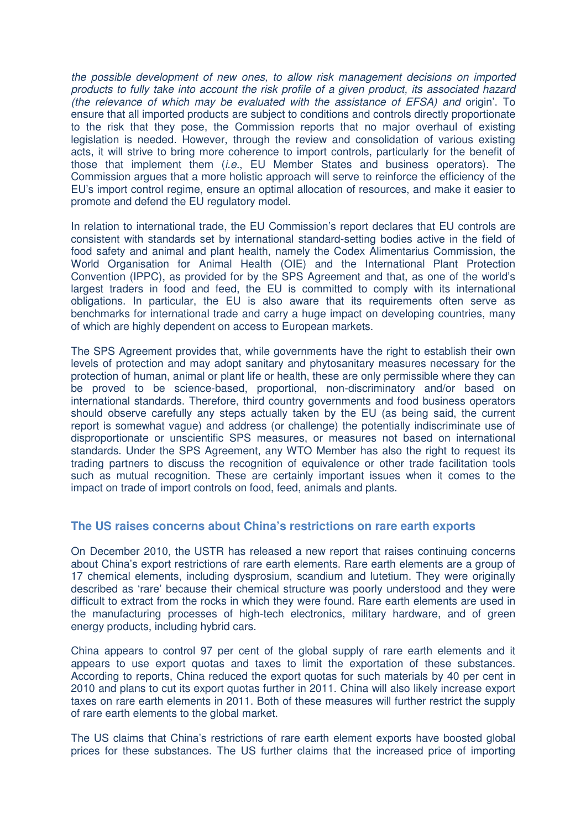the possible development of new ones, to allow risk management decisions on imported products to fully take into account the risk profile of a given product, its associated hazard (the relevance of which may be evaluated with the assistance of EFSA) and origin'. To ensure that all imported products are subject to conditions and controls directly proportionate to the risk that they pose, the Commission reports that no major overhaul of existing legislation is needed. However, through the review and consolidation of various existing acts, it will strive to bring more coherence to import controls, particularly for the benefit of those that implement them (*i.e.*, EU Member States and business operators). The Commission argues that a more holistic approach will serve to reinforce the efficiency of the EU's import control regime, ensure an optimal allocation of resources, and make it easier to promote and defend the EU regulatory model.

In relation to international trade, the EU Commission's report declares that EU controls are consistent with standards set by international standard-setting bodies active in the field of food safety and animal and plant health, namely the Codex Alimentarius Commission, the World Organisation for Animal Health (OIE) and the International Plant Protection Convention (IPPC), as provided for by the SPS Agreement and that, as one of the world's largest traders in food and feed, the EU is committed to comply with its international obligations. In particular, the EU is also aware that its requirements often serve as benchmarks for international trade and carry a huge impact on developing countries, many of which are highly dependent on access to European markets.

The SPS Agreement provides that, while governments have the right to establish their own levels of protection and may adopt sanitary and phytosanitary measures necessary for the protection of human, animal or plant life or health, these are only permissible where they can be proved to be science-based, proportional, non-discriminatory and/or based on international standards. Therefore, third country governments and food business operators should observe carefully any steps actually taken by the EU (as being said, the current report is somewhat vague) and address (or challenge) the potentially indiscriminate use of disproportionate or unscientific SPS measures, or measures not based on international standards. Under the SPS Agreement, any WTO Member has also the right to request its trading partners to discuss the recognition of equivalence or other trade facilitation tools such as mutual recognition. These are certainly important issues when it comes to the impact on trade of import controls on food, feed, animals and plants.

### **The US raises concerns about China's restrictions on rare earth exports**

On December 2010, the USTR has released a new report that raises continuing concerns about China's export restrictions of rare earth elements. Rare earth elements are a group of 17 chemical elements, including dysprosium, scandium and lutetium. They were originally described as 'rare' because their chemical structure was poorly understood and they were difficult to extract from the rocks in which they were found. Rare earth elements are used in the manufacturing processes of high-tech electronics, military hardware, and of green energy products, including hybrid cars.

China appears to control 97 per cent of the global supply of rare earth elements and it appears to use export quotas and taxes to limit the exportation of these substances. According to reports, China reduced the export quotas for such materials by 40 per cent in 2010 and plans to cut its export quotas further in 2011. China will also likely increase export taxes on rare earth elements in 2011. Both of these measures will further restrict the supply of rare earth elements to the global market.

The US claims that China's restrictions of rare earth element exports have boosted global prices for these substances. The US further claims that the increased price of importing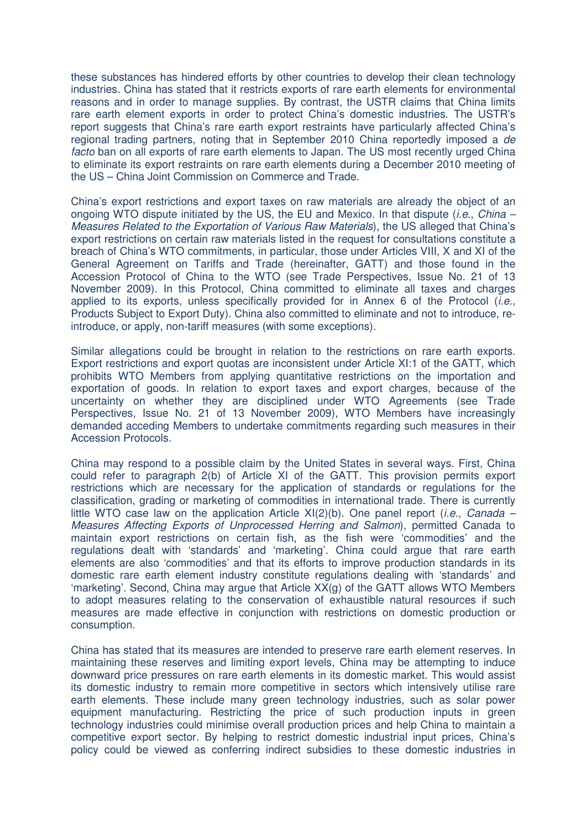these substances has hindered efforts by other countries to develop their clean technology industries. China has stated that it restricts exports of rare earth elements for environmental reasons and in order to manage supplies. By contrast, the USTR claims that China limits rare earth element exports in order to protect China's domestic industries. The USTR's report suggests that China's rare earth export restraints have particularly affected China's regional trading partners, noting that in September 2010 China reportedly imposed a de facto ban on all exports of rare earth elements to Japan. The US most recently urged China to eliminate its export restraints on rare earth elements during a December 2010 meeting of the US – China Joint Commission on Commerce and Trade.

China's export restrictions and export taxes on raw materials are already the object of an ongoing WTO dispute initiated by the US, the EU and Mexico. In that dispute *(i.e., China –* Measures Related to the Exportation of Various Raw Materials), the US alleged that China's export restrictions on certain raw materials listed in the request for consultations constitute a breach of China's WTO commitments, in particular, those under Articles VIII, X and XI of the General Agreement on Tariffs and Trade (hereinafter, GATT) and those found in the Accession Protocol of China to the WTO (see Trade Perspectives, Issue No. 21 of 13 November 2009). In this Protocol, China committed to eliminate all taxes and charges applied to its exports, unless specifically provided for in Annex 6 of the Protocol  $(i.e.,$ Products Subject to Export Duty). China also committed to eliminate and not to introduce, reintroduce, or apply, non-tariff measures (with some exceptions).

Similar allegations could be brought in relation to the restrictions on rare earth exports. Export restrictions and export quotas are inconsistent under Article XI:1 of the GATT, which prohibits WTO Members from applying quantitative restrictions on the importation and exportation of goods. In relation to export taxes and export charges, because of the uncertainty on whether they are disciplined under WTO Agreements (see Trade Perspectives, Issue No. 21 of 13 November 2009), WTO Members have increasingly demanded acceding Members to undertake commitments regarding such measures in their Accession Protocols.

China may respond to a possible claim by the United States in several ways. First, China could refer to paragraph 2(b) of Article XI of the GATT. This provision permits export restrictions which are necessary for the application of standards or regulations for the classification, grading or marketing of commodities in international trade. There is currently little WTO case law on the application Article  $XI(2)(b)$ . One panel report *(i.e., Canada –* Measures Affecting Exports of Unprocessed Herring and Salmon), permitted Canada to maintain export restrictions on certain fish, as the fish were 'commodities' and the regulations dealt with 'standards' and 'marketing'. China could argue that rare earth elements are also 'commodities' and that its efforts to improve production standards in its domestic rare earth element industry constitute regulations dealing with 'standards' and 'marketing'. Second, China may argue that Article XX(g) of the GATT allows WTO Members to adopt measures relating to the conservation of exhaustible natural resources if such measures are made effective in conjunction with restrictions on domestic production or consumption.

China has stated that its measures are intended to preserve rare earth element reserves. In maintaining these reserves and limiting export levels, China may be attempting to induce downward price pressures on rare earth elements in its domestic market. This would assist its domestic industry to remain more competitive in sectors which intensively utilise rare earth elements. These include many green technology industries, such as solar power equipment manufacturing. Restricting the price of such production inputs in green technology industries could minimise overall production prices and help China to maintain a competitive export sector. By helping to restrict domestic industrial input prices, China's policy could be viewed as conferring indirect subsidies to these domestic industries in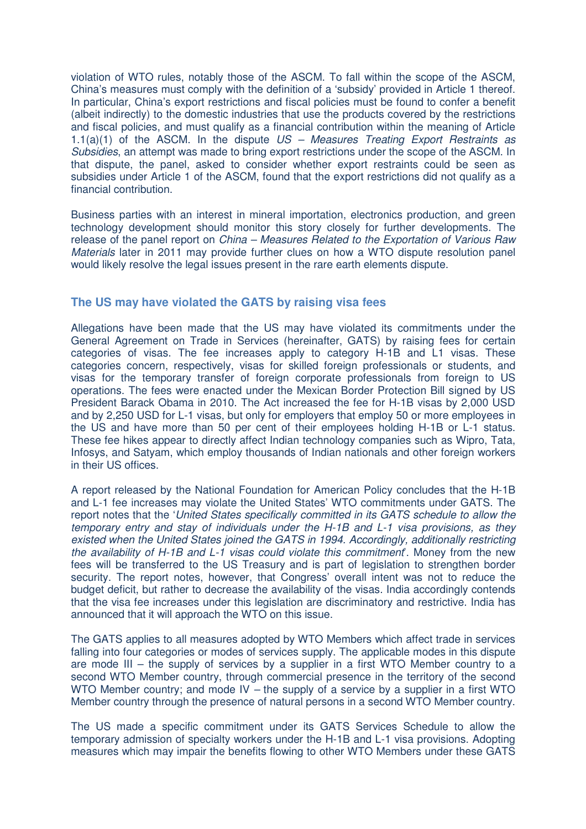violation of WTO rules, notably those of the ASCM. To fall within the scope of the ASCM, China's measures must comply with the definition of a 'subsidy' provided in Article 1 thereof. In particular, China's export restrictions and fiscal policies must be found to confer a benefit (albeit indirectly) to the domestic industries that use the products covered by the restrictions and fiscal policies, and must qualify as a financial contribution within the meaning of Article 1.1(a)(1) of the ASCM. In the dispute  $US -$  Measures Treating Export Restraints as Subsidies, an attempt was made to bring export restrictions under the scope of the ASCM. In that dispute, the panel, asked to consider whether export restraints could be seen as subsidies under Article 1 of the ASCM, found that the export restrictions did not qualify as a financial contribution.

Business parties with an interest in mineral importation, electronics production, and green technology development should monitor this story closely for further developments. The release of the panel report on China – Measures Related to the Exportation of Various Raw Materials later in 2011 may provide further clues on how a WTO dispute resolution panel would likely resolve the legal issues present in the rare earth elements dispute.

# **The US may have violated the GATS by raising visa fees**

Allegations have been made that the US may have violated its commitments under the General Agreement on Trade in Services (hereinafter, GATS) by raising fees for certain categories of visas. The fee increases apply to category H-1B and L1 visas. These categories concern, respectively, visas for skilled foreign professionals or students, and visas for the temporary transfer of foreign corporate professionals from foreign to US operations. The fees were enacted under the Mexican Border Protection Bill signed by US President Barack Obama in 2010. The Act increased the fee for H-1B visas by 2,000 USD and by 2,250 USD for L-1 visas, but only for employers that employ 50 or more employees in the US and have more than 50 per cent of their employees holding H-1B or L-1 status. These fee hikes appear to directly affect Indian technology companies such as Wipro, Tata, Infosys, and Satyam, which employ thousands of Indian nationals and other foreign workers in their US offices.

A report released by the National Foundation for American Policy concludes that the H-1B and L-1 fee increases may violate the United States' WTO commitments under GATS. The report notes that the 'United States specifically committed in its GATS schedule to allow the temporary entry and stay of individuals under the H-1B and L-1 visa provisions, as they existed when the United States joined the GATS in 1994. Accordingly, additionally restricting the availability of H-1B and L-1 visas could violate this commitment. Money from the new fees will be transferred to the US Treasury and is part of legislation to strengthen border security. The report notes, however, that Congress' overall intent was not to reduce the budget deficit, but rather to decrease the availability of the visas. India accordingly contends that the visa fee increases under this legislation are discriminatory and restrictive. India has announced that it will approach the WTO on this issue.

The GATS applies to all measures adopted by WTO Members which affect trade in services falling into four categories or modes of services supply. The applicable modes in this dispute are mode III – the supply of services by a supplier in a first WTO Member country to a second WTO Member country, through commercial presence in the territory of the second WTO Member country; and mode  $IV -$  the supply of a service by a supplier in a first WTO Member country through the presence of natural persons in a second WTO Member country.

The US made a specific commitment under its GATS Services Schedule to allow the temporary admission of specialty workers under the H-1B and L-1 visa provisions. Adopting measures which may impair the benefits flowing to other WTO Members under these GATS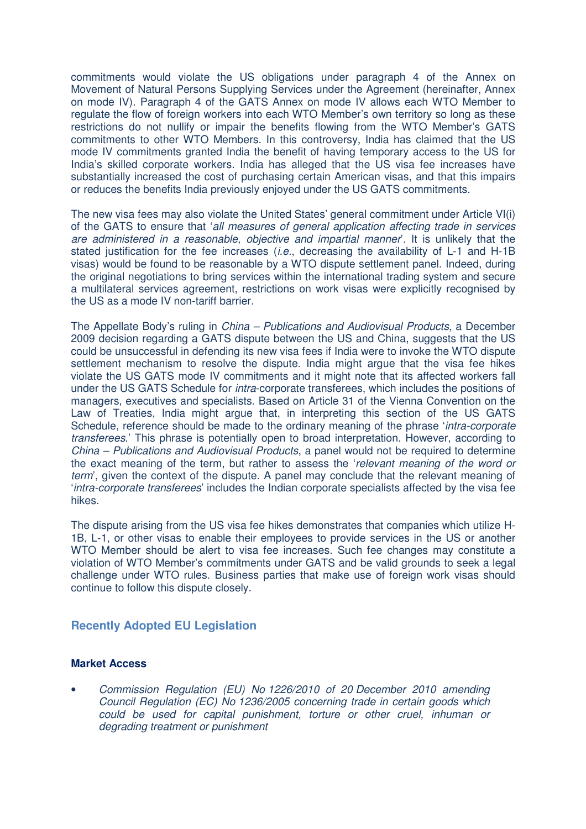commitments would violate the US obligations under paragraph 4 of the Annex on Movement of Natural Persons Supplying Services under the Agreement (hereinafter, Annex on mode IV). Paragraph 4 of the GATS Annex on mode IV allows each WTO Member to regulate the flow of foreign workers into each WTO Member's own territory so long as these restrictions do not nullify or impair the benefits flowing from the WTO Member's GATS commitments to other WTO Members. In this controversy, India has claimed that the US mode IV commitments granted India the benefit of having temporary access to the US for India's skilled corporate workers. India has alleged that the US visa fee increases have substantially increased the cost of purchasing certain American visas, and that this impairs or reduces the benefits India previously enjoyed under the US GATS commitments.

The new visa fees may also violate the United States' general commitment under Article VI(i) of the GATS to ensure that 'all measures of general application affecting trade in services are administered in a reasonable, objective and impartial manner'. It is unlikely that the stated justification for the fee increases *(i.e.*, decreasing the availability of L-1 and H-1B visas) would be found to be reasonable by a WTO dispute settlement panel. Indeed, during the original negotiations to bring services within the international trading system and secure a multilateral services agreement, restrictions on work visas were explicitly recognised by the US as a mode IV non-tariff barrier.

The Appellate Body's ruling in China – Publications and Audiovisual Products, a December 2009 decision regarding a GATS dispute between the US and China, suggests that the US could be unsuccessful in defending its new visa fees if India were to invoke the WTO dispute settlement mechanism to resolve the dispute. India might argue that the visa fee hikes violate the US GATS mode IV commitments and it might note that its affected workers fall under the US GATS Schedule for intra-corporate transferees, which includes the positions of managers, executives and specialists. Based on Article 31 of the Vienna Convention on the Law of Treaties, India might argue that, in interpreting this section of the US GATS Schedule, reference should be made to the ordinary meaning of the phrase 'intra-corporate transferees.' This phrase is potentially open to broad interpretation. However, according to China – Publications and Audiovisual Products, a panel would not be required to determine the exact meaning of the term, but rather to assess the 'relevant meaning of the word or term', given the context of the dispute. A panel may conclude that the relevant meaning of 'intra-corporate transferees' includes the Indian corporate specialists affected by the visa fee hikes.

The dispute arising from the US visa fee hikes demonstrates that companies which utilize H-1B, L-1, or other visas to enable their employees to provide services in the US or another WTO Member should be alert to visa fee increases. Such fee changes may constitute a violation of WTO Member's commitments under GATS and be valid grounds to seek a legal challenge under WTO rules. Business parties that make use of foreign work visas should continue to follow this dispute closely.

### **Recently Adopted EU Legislation**

#### **Market Access**

• Commission Regulation (EU) No 1226/2010 of 20 December 2010 amending Council Regulation (EC) No 1236/2005 concerning trade in certain goods which could be used for capital punishment, torture or other cruel, inhuman or degrading treatment or punishment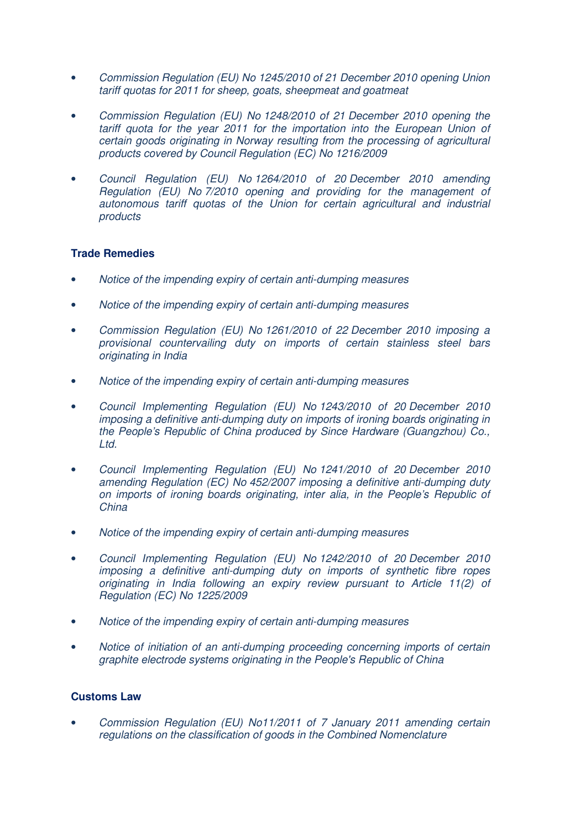- Commission Regulation (EU) No 1245/2010 of 21 December 2010 opening Union tariff quotas for 2011 for sheep, goats, sheepmeat and goatmeat
- Commission Regulation (EU) No 1248/2010 of 21 December 2010 opening the tariff quota for the year 2011 for the importation into the European Union of certain goods originating in Norway resulting from the processing of agricultural products covered by Council Regulation (EC) No 1216/2009
- Council Regulation (EU) No 1264/2010 of 20 December 2010 amending Regulation (EU) No 7/2010 opening and providing for the management of autonomous tariff quotas of the Union for certain agricultural and industrial products

# **Trade Remedies**

- Notice of the impending expiry of certain anti-dumping measures
- Notice of the impending expiry of certain anti-dumping measures
- Commission Regulation (EU) No 1261/2010 of 22 December 2010 imposing a provisional countervailing duty on imports of certain stainless steel bars originating in India
- Notice of the impending expiry of certain anti-dumping measures
- Council Implementing Regulation (EU) No 1243/2010 of 20 December 2010 imposing a definitive anti-dumping duty on imports of ironing boards originating in the People's Republic of China produced by Since Hardware (Guangzhou) Co., Ltd.
- Council Implementing Regulation (EU) No 1241/2010 of 20 December 2010 amending Regulation (EC) No 452/2007 imposing a definitive anti-dumping duty on imports of ironing boards originating, inter alia, in the People's Republic of **China**
- Notice of the impending expiry of certain anti-dumping measures
- Council Implementing Regulation (EU) No 1242/2010 of 20 December 2010 imposing a definitive anti-dumping duty on imports of synthetic fibre ropes originating in India following an expiry review pursuant to Article 11(2) of Regulation (EC) No 1225/2009
- Notice of the impending expiry of certain anti-dumping measures
- Notice of initiation of an anti-dumping proceeding concerning imports of certain graphite electrode systems originating in the People's Republic of China

### **Customs Law**

• Commission Regulation (EU) No11/2011 of 7 January 2011 amending certain regulations on the classification of goods in the Combined Nomenclature